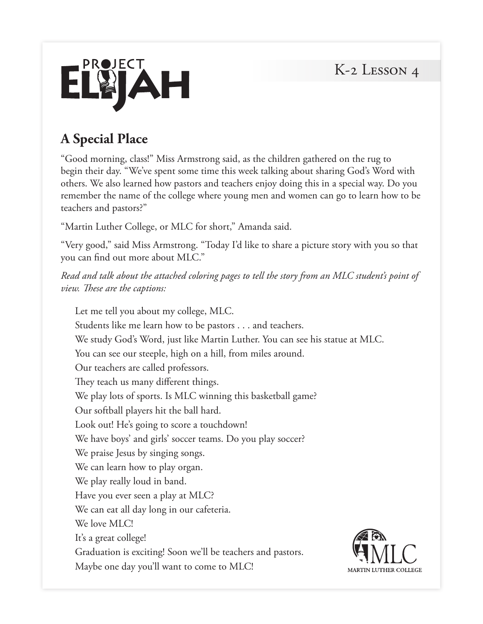

# **A Special Place**

"Good morning, class!" Miss Armstrong said, as the children gathered on the rug to begin their day. "We've spent some time this week talking about sharing God's Word with others. We also learned how pastors and teachers enjoy doing this in a special way. Do you remember the name of the college where young men and women can go to learn how to be teachers and pastors?"

"Martin Luther College, or MLC for short," Amanda said.

"Very good," said Miss Armstrong. "Today I'd like to share a picture story with you so that you can find out more about MLC."

*Read and talk about the attached coloring pages to tell the story from an MLC student's point of view. These are the captions:* 

Let me tell you about my college, MLC. Students like me learn how to be pastors . . . and teachers. We study God's Word, just like Martin Luther. You can see his statue at MLC. You can see our steeple, high on a hill, from miles around. Our teachers are called professors. They teach us many different things. We play lots of sports. Is MLC winning this basketball game? Our softball players hit the ball hard. Look out! He's going to score a touchdown! We have boys' and girls' soccer teams. Do you play soccer? We praise Jesus by singing songs. We can learn how to play organ. We play really loud in band. Have you ever seen a play at MLC? We can eat all day long in our cafeteria. We love MLC! It's a great college! Graduation is exciting! Soon we'll be teachers and pastors. Maybe one day you'll want to come to MLC!